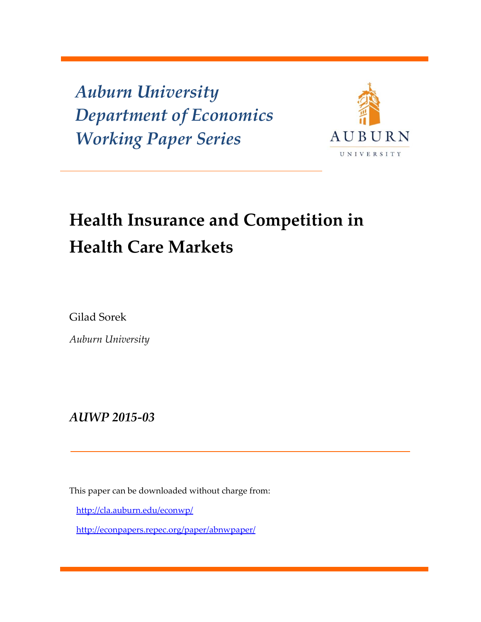*Auburn University Department of Economics Working Paper Series*



# **Health Insurance and Competition in Health Care Markets**

Gilad Sorek

*Auburn University*

*AUWP 2015‐03*

This paper can be downloaded without charge from:

http://cla.auburn.edu/econwp/

http://econpapers.repec.org/paper/abnwpaper/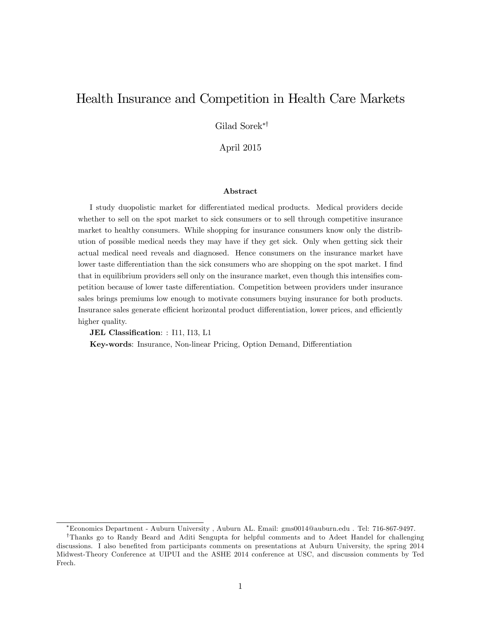# Health Insurance and Competition in Health Care Markets

Gilad Sorek\*<sup>†</sup>

April 2015

#### Abstract

I study duopolistic market for differentiated medical products. Medical providers decide whether to sell on the spot market to sick consumers or to sell through competitive insurance market to healthy consumers. While shopping for insurance consumers know only the distribution of possible medical needs they may have if they get sick. Only when getting sick their actual medical need reveals and diagnosed. Hence consumers on the insurance market have lower taste differentiation than the sick consumers who are shopping on the spot market. I find that in equilibrium providers sell only on the insurance market, even though this intensifies competition because of lower taste differentiation. Competition between providers under insurance sales brings premiums low enough to motivate consumers buying insurance for both products. Insurance sales generate efficient horizontal product differentiation, lower prices, and efficiently higher quality.

JEL Classification: : I11, I13, L1

Key-words: Insurance, Non-linear Pricing, Option Demand, Differentiation

Economics Department - Auburn University , Auburn AL. Email: gms0014@auburn.edu . Tel: 716-867-9497.

<sup>&</sup>lt;sup>†</sup>Thanks go to Randy Beard and Aditi Sengupta for helpful comments and to Adeet Handel for challenging discussions. I also benefited from participants comments on presentations at Auburn University, the spring 2014 Midwest-Theory Conference at UIPUI and the ASHE 2014 conference at USC, and discussion comments by Ted Frech.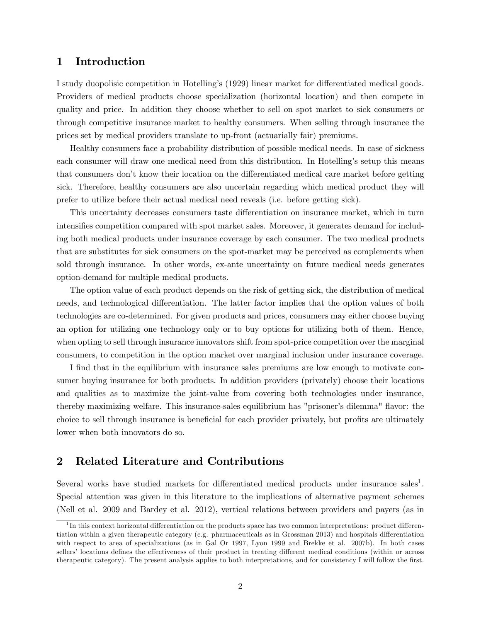## 1 Introduction

I study duopolisic competition in Hotelling's (1929) linear market for differentiated medical goods. Providers of medical products choose specialization (horizontal location) and then compete in quality and price. In addition they choose whether to sell on spot market to sick consumers or through competitive insurance market to healthy consumers. When selling through insurance the prices set by medical providers translate to up-front (actuarially fair) premiums.

Healthy consumers face a probability distribution of possible medical needs. In case of sickness each consumer will draw one medical need from this distribution. In Hotelling's setup this means that consumers don't know their location on the differentiated medical care market before getting sick. Therefore, healthy consumers are also uncertain regarding which medical product they will prefer to utilize before their actual medical need reveals (i.e. before getting sick).

This uncertainty decreases consumers taste differentiation on insurance market, which in turn intensifies competition compared with spot market sales. Moreover, it generates demand for including both medical products under insurance coverage by each consumer. The two medical products that are substitutes for sick consumers on the spot-market may be perceived as complements when sold through insurance. In other words, ex-ante uncertainty on future medical needs generates option-demand for multiple medical products.

The option value of each product depends on the risk of getting sick, the distribution of medical needs, and technological differentiation. The latter factor implies that the option values of both technologies are co-determined. For given products and prices, consumers may either choose buying an option for utilizing one technology only or to buy options for utilizing both of them. Hence, when opting to sell through insurance innovators shift from spot-price competition over the marginal consumers, to competition in the option market over marginal inclusion under insurance coverage.

I find that in the equilibrium with insurance sales premiums are low enough to motivate consumer buying insurance for both products. In addition providers (privately) choose their locations and qualities as to maximize the joint-value from covering both technologies under insurance, thereby maximizing welfare. This insurance-sales equilibrium has "prisoner's dilemma" flavor: the choice to sell through insurance is beneficial for each provider privately, but profits are ultimately lower when both innovators do so.

## 2 Related Literature and Contributions

Several works have studied markets for differentiated medical products under insurance sales<sup>1</sup>. Special attention was given in this literature to the implications of alternative payment schemes (Nell et al. 2009 and Bardey et al. 2012), vertical relations between providers and payers (as in

 ${}^{1}$ In this context horizontal differentiation on the products space has two common interpretations: product differentiation within a given therapeutic category (e.g. pharmaceuticals as in Grossman 2013) and hospitals differentiation with respect to area of specializations (as in Gal Or 1997, Lyon 1999 and Brekke et al. 2007b). In both cases sellers' locations defines the effectiveness of their product in treating different medical conditions (within or across therapeutic category). The present analysis applies to both interpretations, and for consistency I will follow the first.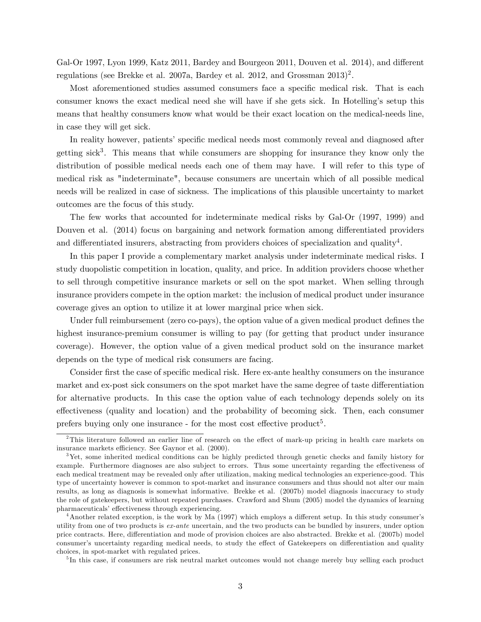Gal-Or 1997, Lyon 1999, Katz 2011, Bardey and Bourgeon 2011, Douven et al. 2014), and different regulations (see Brekke et al. 2007a, Bardey et al. 2012, and Grossman  $2013)^2$ .

Most aforementioned studies assumed consumers face a specific medical risk. That is each consumer knows the exact medical need she will have if she gets sick. In Hotellingís setup this means that healthy consumers know what would be their exact location on the medical-needs line, in case they will get sick.

In reality however, patients' specific medical needs most commonly reveal and diagnosed after getting sick<sup>3</sup>. This means that while consumers are shopping for insurance they know only the distribution of possible medical needs each one of them may have. I will refer to this type of medical risk as "indeterminate", because consumers are uncertain which of all possible medical needs will be realized in case of sickness. The implications of this plausible uncertainty to market outcomes are the focus of this study.

The few works that accounted for indeterminate medical risks by Gal-Or (1997, 1999) and Douven et al. (2014) focus on bargaining and network formation among differentiated providers and differentiated insurers, abstracting from providers choices of specialization and quality<sup>4</sup>.

In this paper I provide a complementary market analysis under indeterminate medical risks. I study duopolistic competition in location, quality, and price. In addition providers choose whether to sell through competitive insurance markets or sell on the spot market. When selling through insurance providers compete in the option market: the inclusion of medical product under insurance coverage gives an option to utilize it at lower marginal price when sick.

Under full reimbursement (zero co-pays), the option value of a given medical product defines the highest insurance-premium consumer is willing to pay (for getting that product under insurance coverage). However, the option value of a given medical product sold on the insurance market depends on the type of medical risk consumers are facing.

Consider first the case of specific medical risk. Here ex-ante healthy consumers on the insurance market and ex-post sick consumers on the spot market have the same degree of taste differentiation for alternative products. In this case the option value of each technology depends solely on its effectiveness (quality and location) and the probability of becoming sick. Then, each consumer prefers buying only one insurance - for the most cost effective product<sup>5</sup>.

<sup>5</sup>In this case, if consumers are risk neutral market outcomes would not change merely buy selling each product

 $2$ This literature followed an earlier line of research on the effect of mark-up pricing in health care markets on insurance markets efficiency. See Gaynor et al. (2000).

<sup>&</sup>lt;sup>3</sup>Yet, some inherited medical conditions can be highly predicted through genetic checks and family history for example. Furthermore diagnoses are also subject to errors. Thus some uncertainty regarding the effectiveness of each medical treatment may be revealed only after utilization, making medical technologies an experience-good. This type of uncertainty however is common to spot-market and insurance consumers and thus should not alter our main results, as long as diagnosis is somewhat informative. Brekke et al. (2007b) model diagnosis inaccuracy to study the role of gatekeepers, but without repeated purchases. Crawford and Shum (2005) model the dynamics of learning pharmaceuticals' effectiveness through experiencing.

 $4$ Another related exception, is the work by Ma (1997) which employs a different setup. In this study consumer's utility from one of two products is ex-ante uncertain, and the two products can be bundled by insurers, under option price contracts. Here, differentiation and mode of provision choices are also abstracted. Brekke et al. (2007b) model consumer's uncertainty regarding medical needs, to study the effect of Gatekeepers on differentiation and quality choices, in spot-market with regulated prices.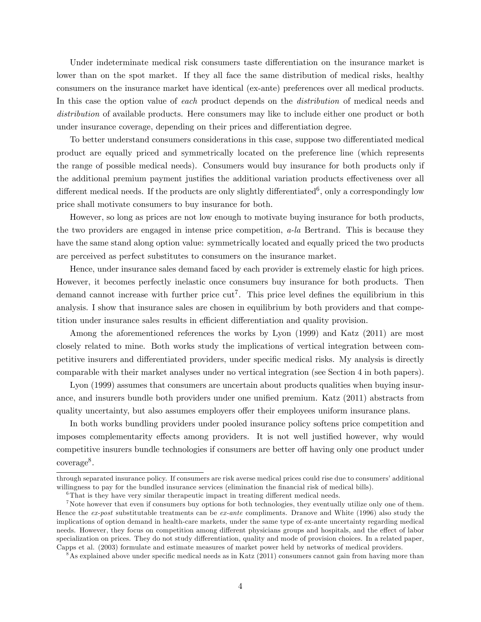Under indeterminate medical risk consumers taste differentiation on the insurance market is lower than on the spot market. If they all face the same distribution of medical risks, healthy consumers on the insurance market have identical (ex-ante) preferences over all medical products. In this case the option value of *each* product depends on the *distribution* of medical needs and distribution of available products. Here consumers may like to include either one product or both under insurance coverage, depending on their prices and differentiation degree.

To better understand consumers considerations in this case, suppose two differentiated medical product are equally priced and symmetrically located on the preference line (which represents the range of possible medical needs). Consumers would buy insurance for both products only if the additional premium payment justifies the additional variation products effectiveness over all different medical needs. If the products are only slightly differentiated<sup>6</sup>, only a correspondingly low price shall motivate consumers to buy insurance for both.

However, so long as prices are not low enough to motivate buying insurance for both products, the two providers are engaged in intense price competition, a-la Bertrand. This is because they have the same stand along option value: symmetrically located and equally priced the two products are perceived as perfect substitutes to consumers on the insurance market.

Hence, under insurance sales demand faced by each provider is extremely elastic for high prices. However, it becomes perfectly inelastic once consumers buy insurance for both products. Then demand cannot increase with further price  $\text{cut}^7$ . This price level defines the equilibrium in this analysis. I show that insurance sales are chosen in equilibrium by both providers and that competition under insurance sales results in efficient differentiation and quality provision.

Among the aforementioned references the works by Lyon (1999) and Katz (2011) are most closely related to mine. Both works study the implications of vertical integration between competitive insurers and differentiated providers, under specific medical risks. My analysis is directly comparable with their market analyses under no vertical integration (see Section 4 in both papers).

Lyon (1999) assumes that consumers are uncertain about products qualities when buying insurance, and insurers bundle both providers under one unified premium. Katz (2011) abstracts from quality uncertainty, but also assumes employers offer their employees uniform insurance plans.

In both works bundling providers under pooled insurance policy softens price competition and imposes complementarity effects among providers. It is not well justified however, why would competitive insurers bundle technologies if consumers are better off having only one product under coverage<sup>8</sup>.

through separated insurance policy. If consumers are risk averse medical prices could rise due to consumers' additional willingness to pay for the bundled insurance services (elimination the financial risk of medical bills).

 ${}^{6}$ That is they have very similar therapeutic impact in treating different medical needs.

<sup>&</sup>lt;sup>7</sup>Note however that even if consumers buy options for both technologies, they eventually utilize only one of them. Hence the ex-post substitutable treatments can be ex-ante compliments. Dranove and White (1996) also study the implications of option demand in health-care markets, under the same type of ex-ante uncertainty regarding medical needs. However, they focus on competition among different physicians groups and hospitals, and the effect of labor specialization on prices. They do not study differentiation, quality and mode of provision choices. In a related paper, Capps et al. (2003) formulate and estimate measures of market power held by networks of medical providers.

 $8\text{As explained above under specific medical needs as in Katz (2011) consumers cannot gain from having more than }$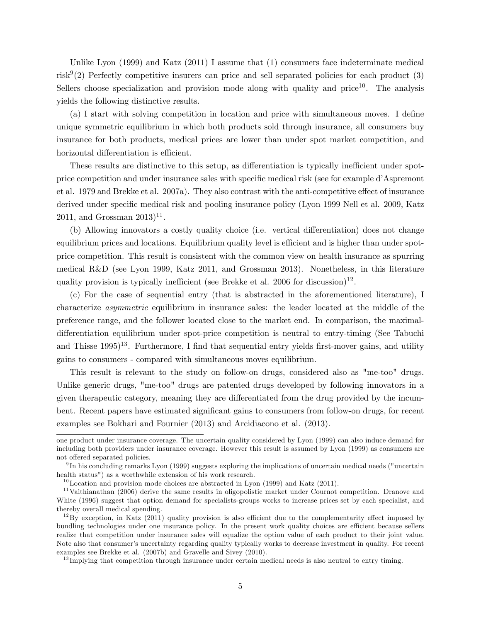Unlike Lyon (1999) and Katz (2011) I assume that (1) consumers face indeterminate medical risk<sup>9</sup>(2) Perfectly competitive insurers can price and sell separated policies for each product (3) Sellers choose specialization and provision mode along with quality and price<sup>10</sup>. The analysis yields the following distinctive results.

(a) I start with solving competition in location and price with simultaneous moves. I define unique symmetric equilibrium in which both products sold through insurance, all consumers buy insurance for both products, medical prices are lower than under spot market competition, and horizontal differentiation is efficient.

These results are distinctive to this setup, as differentiation is typically inefficient under spotprice competition and under insurance sales with specific medical risk (see for example d'Aspremont et al. 1979 and Brekke et al. 2007a). They also contrast with the anti-competitive effect of insurance derived under specific medical risk and pooling insurance policy (Lyon 1999 Nell et al. 2009, Katz  $2011$ , and Grossman  $2013$ <sup>11</sup>.

(b) Allowing innovators a costly quality choice (i.e. vertical differentiation) does not change equilibrium prices and locations. Equilibrium quality level is efficient and is higher than under spotprice competition. This result is consistent with the common view on health insurance as spurring medical R&D (see Lyon 1999, Katz 2011, and Grossman 2013). Nonetheless, in this literature quality provision is typically inefficient (see Brekke et al. 2006 for discussion)<sup>12</sup>.

(c) For the case of sequential entry (that is abstracted in the aforementioned literature), I characterize asymmetric equilibrium in insurance sales: the leader located at the middle of the preference range, and the follower located close to the market end. In comparison, the maximaldifferentiation equilibrium under spot-price competition is neutral to entry-timing (See Tabuchi and Thisse  $1995)^{13}$ . Furthermore, I find that sequential entry yields first-mover gains, and utility gains to consumers - compared with simultaneous moves equilibrium.

This result is relevant to the study on follow-on drugs, considered also as "me-too" drugs. Unlike generic drugs, "me-too" drugs are patented drugs developed by following innovators in a given therapeutic category, meaning they are differentiated from the drug provided by the incumbent. Recent papers have estimated significant gains to consumers from follow-on drugs, for recent examples see Bokhari and Fournier (2013) and Arcidiacono et al. (2013).

one product under insurance coverage. The uncertain quality considered by Lyon (1999) can also induce demand for including both providers under insurance coverage. However this result is assumed by Lyon (1999) as consumers are not offered separated policies.

<sup>&</sup>lt;sup>9</sup>In his concluding remarks Lyon (1999) suggests exploring the implications of uncertain medical needs ("uncertain health status") as a worthwhile extension of his work research.

 $10$ Location and provision mode choices are abstracted in Lyon (1999) and Katz (2011).

<sup>&</sup>lt;sup>11</sup>Vaithianathan (2006) derive the same results in oligopolistic market under Cournot competition. Dranove and White (1996) suggest that option demand for specialists-groups works to increase prices set by each specialist, and thereby overall medical spending.

 $12$ By exception, in Katz (2011) quality provision is also efficient due to the complementarity effect imposed by bundling technologies under one insurance policy. In the present work quality choices are efficient because sellers realize that competition under insurance sales will equalize the option value of each product to their joint value. Note also that consumer's uncertainty regarding quality typically works to decrease investment in quality. For recent examples see Brekke et al. (2007b) and Gravelle and Sivey (2010).

<sup>&</sup>lt;sup>13</sup>Implying that competition through insurance under certain medical needs is also neutral to entry timing.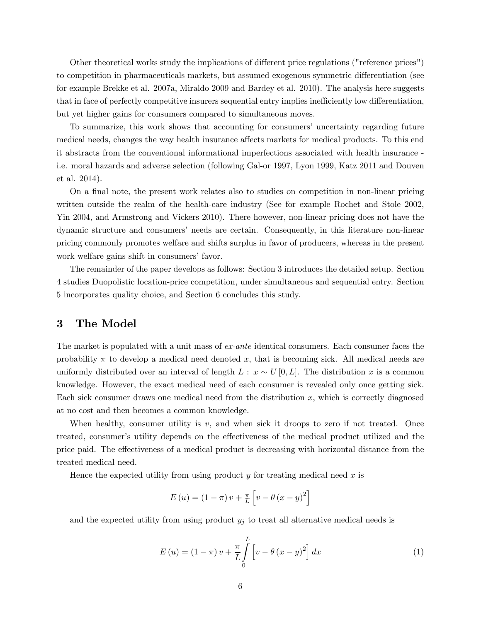Other theoretical works study the implications of different price regulations ("reference prices") to competition in pharmaceuticals markets, but assumed exogenous symmetric differentiation (see for example Brekke et al. 2007a, Miraldo 2009 and Bardey et al. 2010). The analysis here suggests that in face of perfectly competitive insurers sequential entry implies inefficiently low differentiation, but yet higher gains for consumers compared to simultaneous moves.

To summarize, this work shows that accounting for consumers' uncertainty regarding future medical needs, changes the way health insurance affects markets for medical products. To this end it abstracts from the conventional informational imperfections associated with health insurance i.e. moral hazards and adverse selection (following Gal-or 1997, Lyon 1999, Katz 2011 and Douven et al. 2014).

On a final note, the present work relates also to studies on competition in non-linear pricing written outside the realm of the health-care industry (See for example Rochet and Stole 2002, Yin 2004, and Armstrong and Vickers 2010). There however, non-linear pricing does not have the dynamic structure and consumersí needs are certain. Consequently, in this literature non-linear pricing commonly promotes welfare and shifts surplus in favor of producers, whereas in the present work welfare gains shift in consumers' favor.

The remainder of the paper develops as follows: Section 3 introduces the detailed setup. Section 4 studies Duopolistic location-price competition, under simultaneous and sequential entry. Section 5 incorporates quality choice, and Section 6 concludes this study.

## 3 The Model

The market is populated with a unit mass of ex-ante identical consumers. Each consumer faces the probability  $\pi$  to develop a medical need denoted x, that is becoming sick. All medical needs are uniformly distributed over an interval of length  $L : x \sim U[0,L]$ . The distribution x is a common knowledge. However, the exact medical need of each consumer is revealed only once getting sick. Each sick consumer draws one medical need from the distribution  $x$ , which is correctly diagnosed at no cost and then becomes a common knowledge.

When healthy, consumer utility is  $v$ , and when sick it droops to zero if not treated. Once treated, consumer's utility depends on the effectiveness of the medical product utilized and the price paid. The effectiveness of a medical product is decreasing with horizontal distance from the treated medical need.

Hence the expected utility from using product  $y$  for treating medical need  $x$  is

$$
E(u) = (1 - \pi) v + \frac{\pi}{L} \left[ v - \theta (x - y)^2 \right]
$$

and the expected utility from using product  $y_j$  to treat all alternative medical needs is

$$
E(u) = (1 - \pi) v + \frac{\pi}{L} \int_{0}^{L} \left[ v - \theta (x - y)^2 \right] dx \tag{1}
$$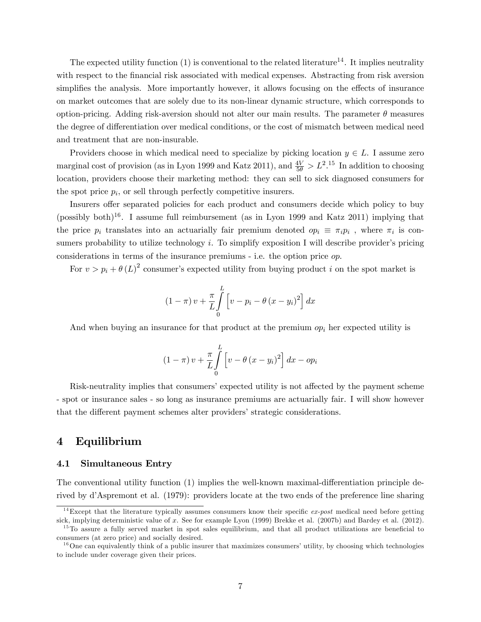The expected utility function  $(1)$  is conventional to the related literature<sup>14</sup>. It implies neutrality with respect to the financial risk associated with medical expenses. Abstracting from risk aversion simplifies the analysis. More importantly however, it allows focusing on the effects of insurance on market outcomes that are solely due to its non-linear dynamic structure, which corresponds to option-pricing. Adding risk-aversion should not alter our main results. The parameter  $\theta$  measures the degree of differentiation over medical conditions, or the cost of mismatch between medical need and treatment that are non-insurable.

Providers choose in which medical need to specialize by picking location  $y \in L$ . I assume zero marginal cost of provision (as in Lyon 1999 and Katz 2011), and  $\frac{4V}{5\theta} > L^2$ .<sup>15</sup> In addition to choosing location, providers choose their marketing method: they can sell to sick diagnosed consumers for the spot price  $p_i$ , or sell through perfectly competitive insurers.

Insurers offer separated policies for each product and consumers decide which policy to buy (possibly both)<sup>16</sup>. I assume full reimbursement (as in Lyon 1999 and Katz 2011) implying that the price  $p_i$  translates into an actuarially fair premium denoted  $op_i \equiv \pi_i p_i$ , where  $\pi_i$  is consumers probability to utilize technology  $i$ . To simplify exposition I will describe provider's pricing considerations in terms of the insurance premiums - i.e. the option price op.

For  $v > p_i + \theta (L)^2$  consumer's expected utility from buying product i on the spot market is

$$
(1 - \pi) v + \frac{\pi}{L} \int_{0}^{L} \left[ v - p_i - \theta (x - y_i)^2 \right] dx
$$

And when buying an insurance for that product at the premium  $op_i$  her expected utility is

$$
(1 - \pi) v + \frac{\pi}{L} \int_{0}^{L} \left[ v - \theta (x - y_i)^2 \right] dx - op_i
$$

Risk-neutrality implies that consumers' expected utility is not affected by the payment scheme - spot or insurance sales - so long as insurance premiums are actuarially fair. I will show however that the different payment schemes alter providers' strategic considerations.

## 4 Equilibrium

#### 4.1 Simultaneous Entry

The conventional utility function  $(1)$  implies the well-known maximal-differentiation principle derived by d'Aspremont et al. (1979): providers locate at the two ends of the preference line sharing

<sup>&</sup>lt;sup>14</sup>Except that the literature typically assumes consumers know their specific  $ex\text{-}post$  medical need before getting sick, implying deterministic value of x. See for example Lyon (1999) Brekke et al. (2007b) and Bardey et al. (2012).

 $15$ To assure a fully served market in spot sales equilibrium, and that all product utilizations are beneficial to consumers (at zero price) and socially desired.

 $16$ One can equivalently think of a public insurer that maximizes consumers' utility, by choosing which technologies to include under coverage given their prices.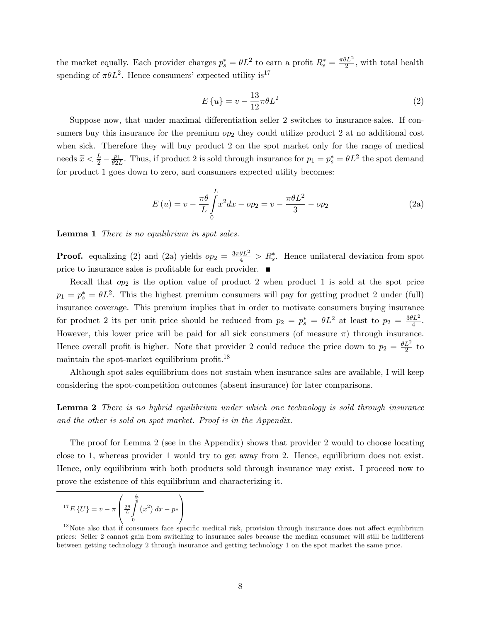the market equally. Each provider charges  $p_s^* = \theta L^2$  to earn a profit  $R_s^* = \frac{\pi \theta L^2}{2}$  $\frac{\partial L^2}{\partial x^2}$ , with total health spending of  $\pi \theta L^2$ . Hence consumers' expected utility is<sup>17</sup>

$$
E\left\{u\right\} = v - \frac{13}{12}\pi\theta L^2\tag{2}
$$

Suppose now, that under maximal differentiation seller 2 switches to insurance-sales. If consumers buy this insurance for the premium  $op_2$  they could utilize product 2 at no additional cost when sick. Therefore they will buy product 2 on the spot market only for the range of medical needs  $\widetilde{x} < \frac{L}{2} - \frac{p_1}{\theta 2L}$  $\frac{p_1}{\theta 2L}$ . Thus, if product 2 is sold through insurance for  $p_1 = p_s^* = \theta L^2$  the spot demand for product 1 goes down to zero, and consumers expected utility becomes:

$$
E(u) = v - \frac{\pi \theta}{L} \int_{0}^{L} x^2 dx - op_2 = v - \frac{\pi \theta L^2}{3} - op_2
$$
 (2a)

Lemma 1 There is no equilibrium in spot sales.

**Proof.** equalizing (2) and (2a) yields  $op_2 = \frac{3\pi\theta L^2}{4} > R_s^*$ . Hence unilateral deviation from spot price to insurance sales is profitable for each provider.  $\blacksquare$ 

Recall that  $op_2$  is the option value of product 2 when product 1 is sold at the spot price  $p_1 = p_s^* = \theta L^2$ . This the highest premium consumers will pay for getting product 2 under (full) insurance coverage. This premium implies that in order to motivate consumers buying insurance for product 2 its per unit price should be reduced from  $p_2 = p_s^* = \theta L^2$  at least to  $p_2 = \frac{3\theta L^2}{4}$  $\frac{dL^2}{4}$ . However, this lower price will be paid for all sick consumers (of measure  $\pi$ ) through insurance. Hence overall profit is higher. Note that provider 2 could reduce the price down to  $p_2 = \frac{\theta L^2}{2}$  $rac{L^2}{2}$  to maintain the spot-market equilibrium profit.<sup>18</sup>

Although spot-sales equilibrium does not sustain when insurance sales are available, I will keep considering the spot-competition outcomes (absent insurance) for later comparisons.

Lemma 2 There is no hybrid equilibrium under which one technology is sold through insurance and the other is sold on spot market. Proof is in the Appendix.

The proof for Lemma 2 (see in the Appendix) shows that provider 2 would to choose locating close to 1, whereas provider 1 would try to get away from 2. Hence, equilibrium does not exist. Hence, only equilibrium with both products sold through insurance may exist. I proceed now to prove the existence of this equilibrium and characterizing it.

$$
{}^{17}E\left\{U\right\} = v - \pi \left(\frac{2\theta}{L} \int\limits_{0}^{\frac{L}{2}} \left(x^2\right) dx - p* \right)
$$

 $18$ Note also that if consumers face specific medical risk, provision through insurance does not affect equilibrium prices: Seller 2 cannot gain from switching to insurance sales because the median consumer will still be indifferent between getting technology 2 through insurance and getting technology 1 on the spot market the same price.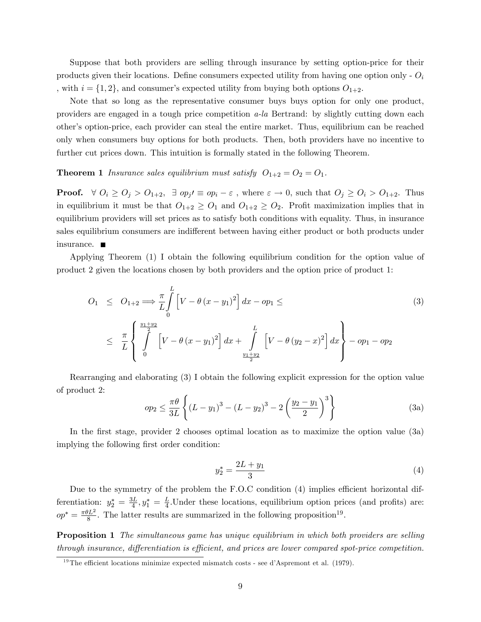Suppose that both providers are selling through insurance by setting option-price for their products given their locations. Define consumers expected utility from having one option only -  $O_i$ , with  $i = \{1, 2\}$ , and consumer's expected utility from buying both options  $O_{1+2}$ .

Note that so long as the representative consumer buys buys option for only one product, providers are engaged in a tough price competition  $a$ -la Bertrand: by slightly cutting down each otherís option-price, each provider can steal the entire market. Thus, equilibrium can be reached only when consumers buy options for both products. Then, both providers have no incentive to further cut prices down. This intuition is formally stated in the following Theorem.

### **Theorem 1** Insurance sales equilibrium must satisfy  $O_{1+2} = O_2 = O_1$ .

**Proof.**  $\forall O_i \geq O_j > O_{1+2}$ ,  $\exists op_j \in op_i - \varepsilon$ , where  $\varepsilon \to 0$ , such that  $O_j \geq O_i > O_{1+2}$ . Thus in equilibrium it must be that  $O_{1+2} \geq O_1$  and  $O_{1+2} \geq O_2$ . Profit maximization implies that in equilibrium providers will set prices as to satisfy both conditions with equality. Thus, in insurance sales equilibrium consumers are indifferent between having either product or both products under insurance.

Applying Theorem (1) I obtain the following equilibrium condition for the option value of product 2 given the locations chosen by both providers and the option price of product 1:

$$
O_1 \leq O_{1+2} \Longrightarrow \frac{\pi}{L} \int_{0}^{L} \left[ V - \theta (x - y_1)^2 \right] dx - op_1 \leq
$$
\n
$$
\leq \frac{\pi}{L} \left\{ \int_{0}^{\frac{y_1 + y_2}{2}} \left[ V - \theta (x - y_1)^2 \right] dx + \int_{\frac{y_1 + y_2}{2}}^{L} \left[ V - \theta (y_2 - x)^2 \right] dx \right\} - op_1 - op_2
$$
\n(3)

Rearranging and elaborating (3) I obtain the following explicit expression for the option value of product 2:

$$
op_2 \leq \frac{\pi \theta}{3L} \left\{ (L - y_1)^3 - (L - y_2)^3 - 2 \left( \frac{y_2 - y_1}{2} \right)^3 \right\}
$$
 (3a)

In the first stage, provider 2 chooses optimal location as to maximize the option value (3a) implying the following first order condition:

$$
y_2^* = \frac{2L + y_1}{3} \tag{4}
$$

Due to the symmetry of the problem the  $F.O.C$  condition  $(4)$  implies efficient horizontal differentiation:  $y_2^* = \frac{3L}{4}$  $\frac{3L}{4}$ ,  $y_1^* = \frac{L}{4}$  $\frac{L}{4}$ . Under these locations, equilibrium option prices (and profits) are:  $op^* = \frac{\pi \theta L^2}{8}$  $\frac{8L^2}{8}$ . The latter results are summarized in the following proposition<sup>19</sup>.

**Proposition 1** The simultaneous game has unique equilibrium in which both providers are selling through insurance, differentiation is efficient, and prices are lower compared spot-price competition.

<sup>&</sup>lt;sup>19</sup>The efficient locations minimize expected mismatch costs - see d'Aspremont et al. (1979).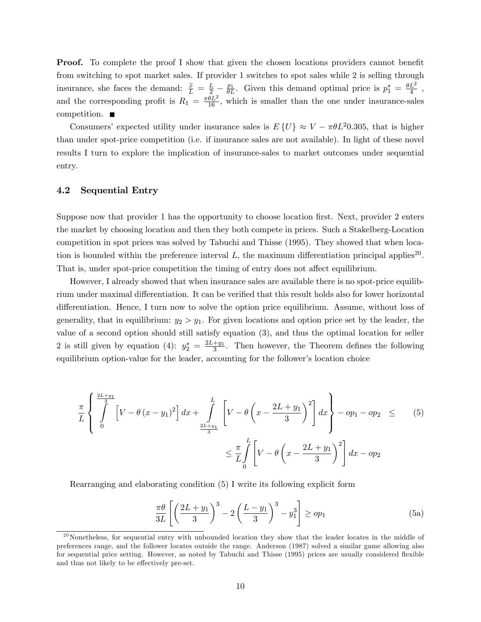**Proof.** To complete the proof I show that given the chosen locations providers cannot benefit from switching to spot market sales. If provider 1 switches to spot sales while 2 is selling through insurance, she faces the demand:  $\frac{\tilde{x}}{L} = \frac{L}{2} - \frac{p_1}{\theta L}$ . Given this demand optimal price is  $p_1^* = \frac{\theta L^2}{4}$  $\frac{L^2}{4}$  , and the corresponding profit is  $R_1 = \frac{\pi \theta L^2}{16}$ , which is smaller than the one under insurance-sales competition.

Consumers' expected utility under insurance sales is  $E\{U\} \approx V - \pi \theta L^2 0.305$ , that is higher than under spot-price competition (i.e. if insurance sales are not available). In light of these novel results I turn to explore the implication of insurance-sales to market outcomes under sequential entry.

## 4.2 Sequential Entry

Suppose now that provider 1 has the opportunity to choose location first. Next, provider 2 enters the market by choosing location and then they both compete in prices. Such a Stakelberg-Location competition in spot prices was solved by Tabuchi and Thisse (1995). They showed that when location is bounded within the preference interval  $L$ , the maximum differentiation principal applies<sup>20</sup>. That is, under spot-price competition the timing of entry does not affect equilibrium.

However, I already showed that when insurance sales are available there is no spot-price equilibrium under maximal differentiation. It can be verified that this result holds also for lower horizontal differentiation. Hence, I turn now to solve the option price equilibrium. Assume, without loss of generality, that in equilibrium:  $y_2 > y_1$ . For given locations and option price set by the leader, the value of a second option should still satisfy equation (3), and thus the optimal location for seller 2 is still given by equation (4):  $y_2^* = \frac{2L+y_1}{3}$  $\frac{+y_1}{3}$ . Then however, the Theorem defines the following equilibrium option-value for the leader, accounting for the follower's location choice

$$
\frac{\pi}{L} \left\{ \int_{0}^{\frac{2L+y_1}{3}} \left[ V - \theta (x - y_1)^2 \right] dx + \int_{\frac{2L+y_1}{3}}^{L} \left[ V - \theta \left( x - \frac{2L+y_1}{3} \right)^2 \right] dx \right\} - op_1 - op_2 \leq (5)
$$
\n
$$
\leq \frac{\pi}{L} \int_{0}^{L} \left[ V - \theta \left( x - \frac{2L+y_1}{3} \right)^2 \right] dx - op_2
$$

Rearranging and elaborating condition (5) I write its following explicit form

$$
\frac{\pi \theta}{3L} \left[ \left( \frac{2L + y_1}{3} \right)^3 - 2 \left( \frac{L - y_1}{3} \right)^3 - y_1^3 \right] \ge op_1 \tag{5a}
$$

 $^{20}$ Nonetheless, for sequential entry with unbounded location they show that the leader locates in the middle of preferences range, and the follower locates outside the range. Anderson (1987) solved a similar game allowing also for sequential price setting. However, as noted by Tabuchi and Thisse (1995) prices are usually considered áexible and thus not likely to be effectively pre-set.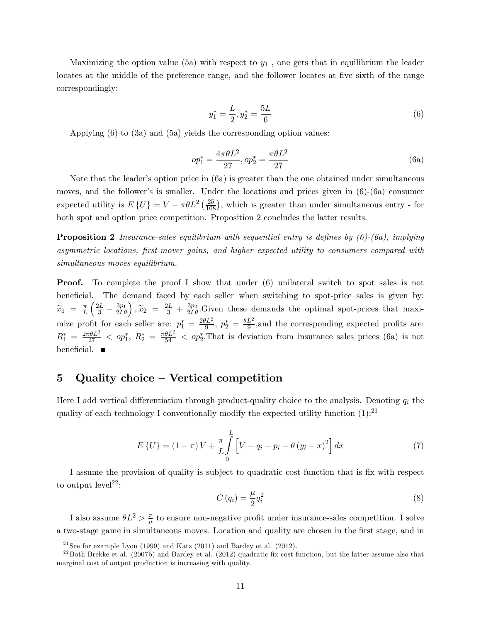Maximizing the option value (5a) with respect to  $y_1$ , one gets that in equilibrium the leader locates at the middle of the preference range, and the follower locates at five sixth of the range correspondingly:

$$
y_1^* = \frac{L}{2}, y_2^* = \frac{5L}{6}
$$
 (6)

Applying (6) to (3a) and (5a) yields the corresponding option values:

$$
op_1^* = \frac{4\pi\theta L^2}{27}, op_2^* = \frac{\pi\theta L^2}{27}
$$
\n(6a)

Note that the leader's option price in  $(6a)$  is greater than the one obtained under simultaneous moves, and the follower's is smaller. Under the locations and prices given in  $(6)-(6a)$  consumer expected utility is  $E\{U\} = V - \pi \theta L^2 \left(\frac{25}{108}\right)$ , which is greater than under simultaneous entry - for both spot and option price competition. Proposition 2 concludes the latter results.

**Proposition 2** Insurance-sales equilibrium with sequential entry is defines by  $(6)-(6a)$ , implying asymmetric locations, Örst-mover gains, and higher expected utility to consumers compared with simultaneous moves equilibrium.

Proof. To complete the proof I show that under (6) unilateral switch to spot sales is not beneficial. The demand faced by each seller when switching to spot-price sales is given by:  $\widetilde{x}_1 = \frac{\pi}{L}$ L  $\left(\frac{2L}{3} - \frac{3p_1}{2L\theta}\right), \tilde{x}_2 = \frac{2L}{3} + \frac{3p_2}{2L\theta}$ . Given these demands the optimal spot-prices that maximize profit for each seller are:  $p_1^* = \frac{2\theta L^2}{9}$  $\frac{\partial L^2}{\partial 9}, p_2^* = \frac{\theta L^2}{9}$  $\frac{L^2}{9}$ , and the corresponding expected profits are:  $R_1^* = \frac{2\pi\theta L^2}{27} <$  op<sub>1</sub><sup>\*</sup>,  $R_2^* = \frac{\pi\theta L^2}{54} <$  op<sub>2</sub><sup>\*</sup>. That is deviation from insurance sales prices (6a) is not beneficial.  $\blacksquare$ 

# 5 Quality choice  $-$  Vertical competition

Here I add vertical differentiation through product-quality choice to the analysis. Denoting  $q_i$  the quality of each technology I conventionally modify the expected utility function  $(1)$ :<sup>21</sup>

$$
E\{U\} = (1 - \pi)V + \frac{\pi}{L} \int_{0}^{L} \left[ V + q_i - p_i - \theta (y_i - x)^2 \right] dx \tag{7}
$$

I assume the provision of quality is subject to quadratic cost function that is Öx with respect to output  $level<sup>22</sup>$ :

$$
C(q_i) = \frac{\mu}{2}q_i^2 \tag{8}
$$

I also assume  $\theta L^2 > \frac{\pi}{\mu}$  $\frac{\pi}{\mu}$  to ensure non-negative profit under insurance-sales competition. I solve a two-stage game in simultaneous moves. Location and quality are chosen in the first stage, and in

<sup>&</sup>lt;sup>21</sup>See for example Lyon (1999) and Katz (2011) and Bardey et al. (2012).

 $^{22}$ Both Brekke et al. (2007b) and Bardey et al. (2012) quadratic fix cost function, but the latter assume also that marginal cost of output production is increasing with quality.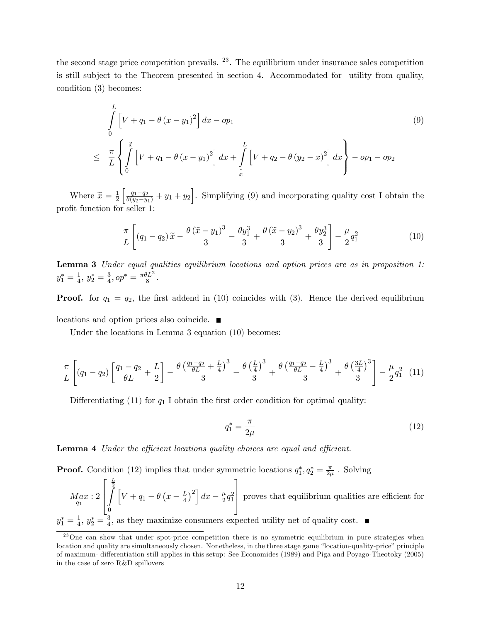the second stage price competition prevails. <sup>23</sup>. The equilibrium under insurance sales competition is still subject to the Theorem presented in section 4. Accommodated for utility from quality, condition (3) becomes:

$$
\int_{0}^{L} \left[ V + q_{1} - \theta (x - y_{1})^{2} \right] dx - op_{1}
$$
\n
$$
\leq \frac{\pi}{L} \left\{ \int_{0}^{\tilde{x}} \left[ V + q_{1} - \theta (x - y_{1})^{2} \right] dx + \int_{\tilde{x}}^{L} \left[ V + q_{2} - \theta (y_{2} - x)^{2} \right] dx \right\} - op_{1} - op_{2}
$$
\n(9)

Where  $\widetilde{x} = \frac{1}{2}$ 2  $\left[\frac{q_1-q_2}{\theta(y_2-y_1)} + y_1 + y_2\right]$ . Simplifying (9) and incorporating quality cost I obtain the profit function for seller 1:

$$
\frac{\pi}{L}\left[ (q_1 - q_2)\tilde{x} - \frac{\theta(\tilde{x} - y_1)^3}{3} - \frac{\theta y_1^3}{3} + \frac{\theta(\tilde{x} - y_2)^3}{3} + \frac{\theta y_2^3}{3} \right] - \frac{\mu}{2}q_1^2 \tag{10}
$$

Lemma 3 Under equal qualities equilibrium locations and option prices are as in proposition 1:  $y_1^* = \frac{1}{4}$  $\frac{1}{4}$ ,  $y_2^* = \frac{3}{4}$  $\frac{3}{4}$ ,  $op^* = \frac{\pi \theta L^2}{8}$  $rac{1}{8}$ .

**Proof.** for  $q_1 = q_2$ , the first addend in (10) coincides with (3). Hence the derived equilibrium locations and option prices also coincide.

Under the locations in Lemma 3 equation (10) becomes:

$$
\frac{\pi}{L}\left[ (q_1 - q_2) \left[ \frac{q_1 - q_2}{\theta L} + \frac{L}{2} \right] - \frac{\theta \left( \frac{q_1 - q_2}{\theta L} + \frac{L}{4} \right)^3}{3} - \frac{\theta \left( \frac{L}{4} \right)^3}{3} + \frac{\theta \left( \frac{q_1 - q_2}{\theta L} - \frac{L}{4} \right)^3}{3} + \frac{\theta \left( \frac{3L}{4} \right)^3}{3} \right] - \frac{\mu}{2} q_1^2 \tag{11}
$$

Differentiating (11) for  $q_1$  I obtain the first order condition for optimal quality:

$$
q_1^* = \frac{\pi}{2\mu} \tag{12}
$$

**Lemma 4** Under the efficient locations quality choices are equal and efficient.

**Proof.** Condition (12) implies that under symmetric locations  $q_1^*, q_2^* = \frac{\pi}{2\mu}$  $\frac{\pi}{2\mu}$  . Solving

$$
Max: 2\begin{bmatrix} \frac{L}{2} \\ \int_{q_1}^{q_2} \left[ V + q_1 - \theta \left( x - \frac{L}{4} \right)^2 \right] dx - \frac{\mu}{2} q_1^2 \end{bmatrix}
$$
 proves that equilibrium qualities are efficient for  
 $y_1^* = \frac{1}{4}$ ,  $y_2^* = \frac{3}{4}$ , as they maximize consumers expected utility net of quality cost.

 $^{23}$ One can show that under spot-price competition there is no symmetric equilibrium in pure strategies when location and quality are simultaneously chosen. Nonetheless, in the three stage game "location-quality-price" principle of maximum- differentiation still applies in this setup: See Economides (1989) and Piga and Poyago-Theotoky (2005) in the case of zero R&D spillovers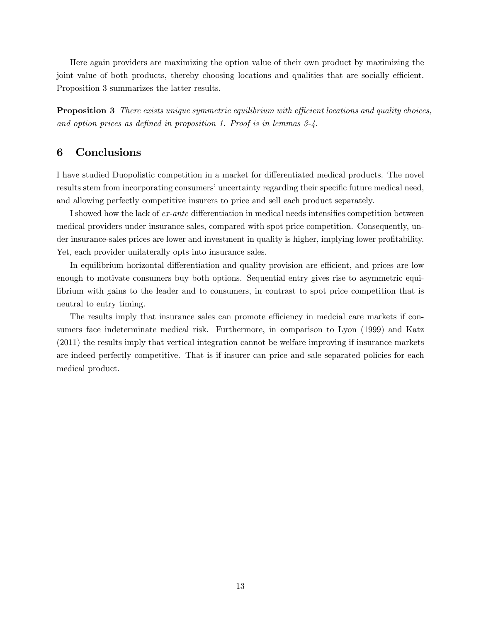Here again providers are maximizing the option value of their own product by maximizing the joint value of both products, thereby choosing locations and qualities that are socially efficient. Proposition 3 summarizes the latter results.

**Proposition 3** There exists unique symmetric equilibrium with efficient locations and quality choices, and option prices as defined in proposition 1. Proof is in lemmas  $3-4$ .

## 6 Conclusions

I have studied Duopolistic competition in a market for differentiated medical products. The novel results stem from incorporating consumers' uncertainty regarding their specific future medical need, and allowing perfectly competitive insurers to price and sell each product separately.

I showed how the lack of *ex-ante* differentiation in medical needs intensifies competition between medical providers under insurance sales, compared with spot price competition. Consequently, under insurance-sales prices are lower and investment in quality is higher, implying lower profitability. Yet, each provider unilaterally opts into insurance sales.

In equilibrium horizontal differentiation and quality provision are efficient, and prices are low enough to motivate consumers buy both options. Sequential entry gives rise to asymmetric equilibrium with gains to the leader and to consumers, in contrast to spot price competition that is neutral to entry timing.

The results imply that insurance sales can promote efficiency in medcial care markets if consumers face indeterminate medical risk. Furthermore, in comparison to Lyon (1999) and Katz (2011) the results imply that vertical integration cannot be welfare improving if insurance markets are indeed perfectly competitive. That is if insurer can price and sale separated policies for each medical product.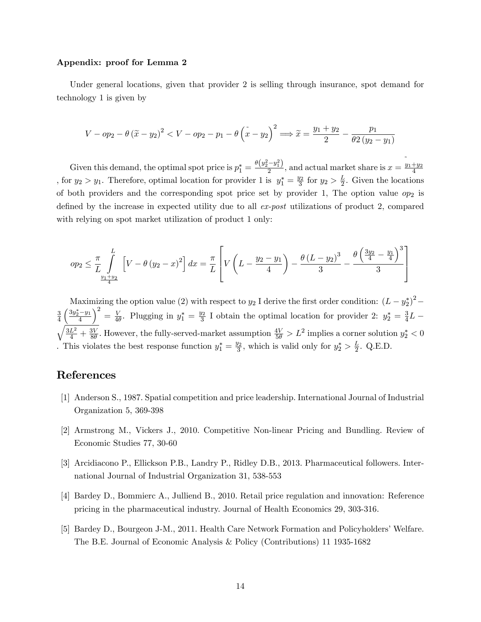#### Appendix: proof for Lemma 2

Under general locations, given that provider 2 is selling through insurance, spot demand for technology 1 is given by

$$
V - op_2 - \theta (\tilde{x} - y_2)^2 < V - op_2 - p_1 - \theta (\tilde{x} - y_2)^2 \Longrightarrow \tilde{x} = \frac{y_1 + y_2}{2} - \frac{p_1}{\theta 2 (y_2 - y_1)}
$$

Given this demand, the optimal spot price is  $p_1^* = \frac{\theta(y_2^2 - y_1^2)}{2}$  $\frac{-y_1}{2}$ , and actual market share is  $\tilde{ }$  $x = \frac{y_1 + y_2}{4}$ 4 , for  $y_2 > y_1$ . Therefore, optimal location for provider 1 is  $y_1^* = \frac{y_2}{3}$  $\frac{y_2}{3}$  for  $y_2 > \frac{L}{2}$  $\frac{L}{2}$ . Given the locations of both providers and the corresponding spot price set by provider 1, The option value  $op_2$  is defined by the increase in expected utility due to all  $ex\text{-}post$  utilizations of product 2, compared with relying on spot market utilization of product 1 only:

$$
op_2 \leq \frac{\pi}{L} \int_{\frac{y_1 + y_2}{2}}^{L} \left[ V - \theta (y_2 - x)^2 \right] dx = \frac{\pi}{L} \left[ V \left( L - \frac{y_2 - y_1}{4} \right) - \frac{\theta (L - y_2)^3}{3} - \frac{\theta \left( \frac{3y_2}{4} - \frac{y_1}{4} \right)^3}{3} \right]
$$

Maximizing the option value (2) with respect to  $y_2$  I derive the first order condition:  $(L - y_2^*)^2$ 3 4  $\left(\frac{3y_2^*-y_1}{4}\right)$  $\Big)^2 = \frac{V}{4\theta}$  $\frac{V}{4\theta}$ . Plugging in  $y_1^* = \frac{y_2}{3}$  $\frac{y_2}{3}$  I obtain the optimal location for provider 2:  $y_2^* = \frac{3}{4}$  $\frac{3}{4}L \sqrt{\frac{3L^2}{4}+\frac{3V}{8\theta}}$  $\frac{3V}{8\theta}$ . However, the fully-served-market assumption  $\frac{4V}{5\theta} > L^2$  implies a corner solution  $y_2^* < 0$ . This violates the best response function  $y_1^* = \frac{y_2}{3}$  $\frac{y_2}{3}$ , which is valid only for  $y_2^* > \frac{L}{2}$  $\frac{L}{2}$ . Q.E.D.

## References

- [1] Anderson S., 1987. Spatial competition and price leadership. International Journal of Industrial Organization 5, 369-398
- [2] Armstrong M., Vickers J., 2010. Competitive Non-linear Pricing and Bundling. Review of Economic Studies 77, 30-60
- [3] Arcidiacono P., Ellickson P.B., Landry P., Ridley D.B., 2013. Pharmaceutical followers. International Journal of Industrial Organization 31, 538-553
- [4] Bardey D., Bommierc A., Julliend B., 2010. Retail price regulation and innovation: Reference pricing in the pharmaceutical industry. Journal of Health Economics 29, 303-316.
- [5] Bardey D., Bourgeon J-M., 2011. Health Care Network Formation and Policyholders' Welfare. The B.E. Journal of Economic Analysis & Policy (Contributions) 11 1935-1682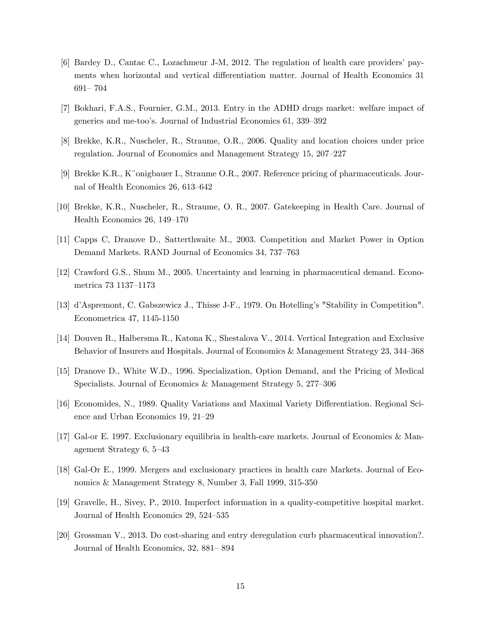- [6] Bardey D., Cantac C., Lozachmeur J-M, 2012. The regulation of health care providersípayments when horizontal and vertical differentiation matter. Journal of Health Economics 31 691 - 704
- [7] Bokhari, F.A.S., Fournier, G.M., 2013. Entry in the ADHD drugs market: welfare impact of generics and me-too's. Journal of Industrial Economics 61, 339–392
- [8] Brekke, K.R., Nuscheler, R., Straume, O.R., 2006. Quality and location choices under price regulation. Journal of Economics and Management Strategy 15, 207–227
- [9] Brekke K.R., K"onigbauer I., Straume O.R., 2007. Reference pricing of pharmaceuticals. Journal of Health Economics 26, 613–642
- [10] Brekke, K.R., Nuscheler, R., Straume, O. R., 2007. Gatekeeping in Health Care. Journal of Health Economics  $26$ ,  $149-170$
- [11] Capps C, Dranove D., Satterthwaite M., 2003. Competition and Market Power in Option Demand Markets. RAND Journal of Economics 34, 737–763
- [12] Crawford G.S., Shum M., 2005. Uncertainty and learning in pharmaceutical demand. Econometrica 73 1137-1173
- [13] díAspremont, C. Gabszewicz J., Thisse J-F., 1979. On Hotellingís "Stability in Competition". Econometrica 47, 1145-1150
- [14] Douven R., Halbersma R., Katona K., Shestalova V., 2014. Vertical Integration and Exclusive Behavior of Insurers and Hospitals. Journal of Economics & Management Strategy 23, 344–368
- [15] Dranove D., White W.D., 1996. Specialization, Option Demand, and the Pricing of Medical Specialists. Journal of Economics & Management Strategy  $5, 277-306$
- [16] Economides, N., 1989. Quality Variations and Maximal Variety Differentiation. Regional Science and Urban Economics 19, 21–29
- [17] Gal-or E. 1997. Exclusionary equilibria in health-care markets. Journal of Economics & Management Strategy  $6, 5-43$
- [18] Gal-Or E., 1999. Mergers and exclusionary practices in health care Markets. Journal of Economics & Management Strategy 8, Number 3, Fall 1999, 315-350
- [19] Gravelle, H., Sivey, P., 2010. Imperfect information in a quality-competitive hospital market. Journal of Health Economics 29, 524–535
- [20] Grossman V., 2013. Do cost-sharing and entry deregulation curb pharmaceutical innovation?. Journal of Health Economics, 32, 881–894